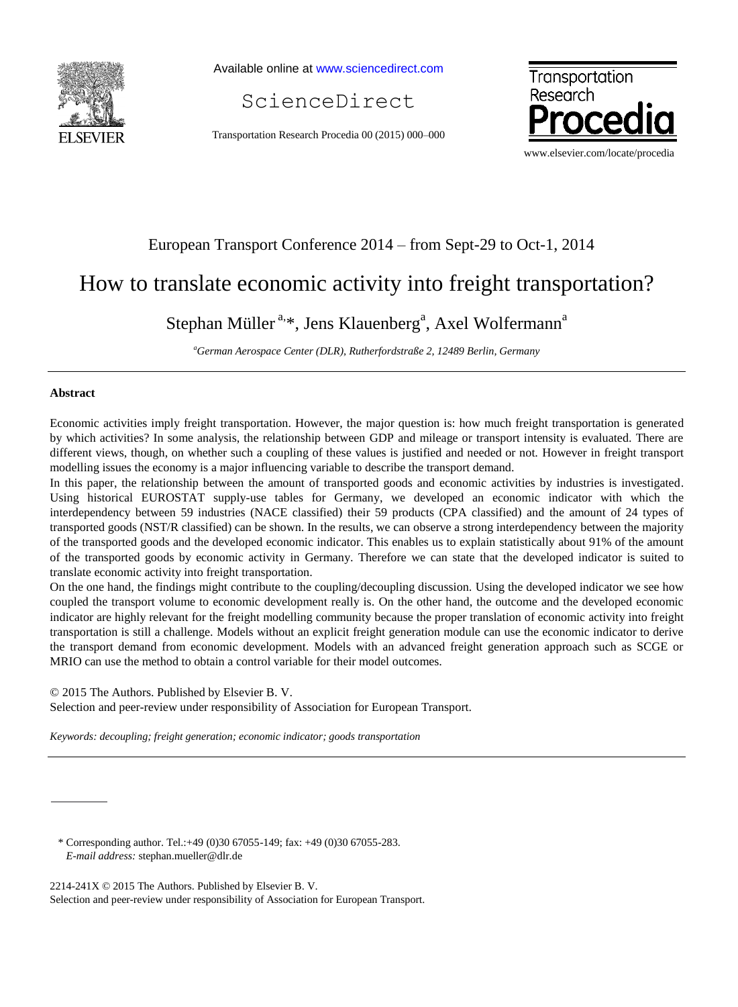

Available online at [www.sciencedirect.com](http://www.sciencedirect.com/science/journal/22107843)

ScienceDirect

Transportation Research Procedia 00 (2015) 000–000



### European Transport Conference 2014 – from Sept-29 to Oct-1, 2014

# How to translate economic activity into freight transportation?

## Stephan Müller<sup>a,\*</sup>, Jens Klauenberg<sup>a</sup>, Axel Wolfermann<sup>a</sup>

*<sup>a</sup>German Aerospace Center (DLR), Rutherfordstraße 2, 12489 Berlin, Germany*

#### **Abstract**

Economic activities imply freight transportation. However, the major question is: how much freight transportation is generated by which activities? In some analysis, the relationship between GDP and mileage or transport intensity is evaluated. There are different views, though, on whether such a coupling of these values is justified and needed or not. However in freight transport modelling issues the economy is a major influencing variable to describe the transport demand.

In this paper, the relationship between the amount of transported goods and economic activities by industries is investigated. Using historical EUROSTAT supply-use tables for Germany, we developed an economic indicator with which the interdependency between 59 industries (NACE classified) their 59 products (CPA classified) and the amount of 24 types of transported goods (NST/R classified) can be shown. In the results, we can observe a strong interdependency between the majority of the transported goods and the developed economic indicator. This enables us to explain statistically about 91% of the amount of the transported goods by economic activity in Germany. Therefore we can state that the developed indicator is suited to translate economic activity into freight transportation.

On the one hand, the findings might contribute to the coupling/decoupling discussion. Using the developed indicator we see how coupled the transport volume to economic development really is. On the other hand, the outcome and the developed economic indicator are highly relevant for the freight modelling community because the proper translation of economic activity into freight transportation is still a challenge. Models without an explicit freight generation module can use the economic indicator to derive the transport demand from economic development. Models with an advanced freight generation approach such as SCGE or MRIO can use the method to obtain a control variable for their model outcomes.

© 2015 The Authors. Published by Elsevier B. V. Selection and peer-review under responsibility of Association for European Transport.

*Keywords: decoupling; freight generation; economic indicator; goods transportation*

\* Corresponding author. Tel.:+49 (0)30 67055-149; fax: +49 (0)30 67055-283. *E-mail address:* stephan.mueller@dlr.de

2214-241X © 2015 The Authors. Published by Elsevier B. V. Selection and peer-review under responsibility of Association for European Transport.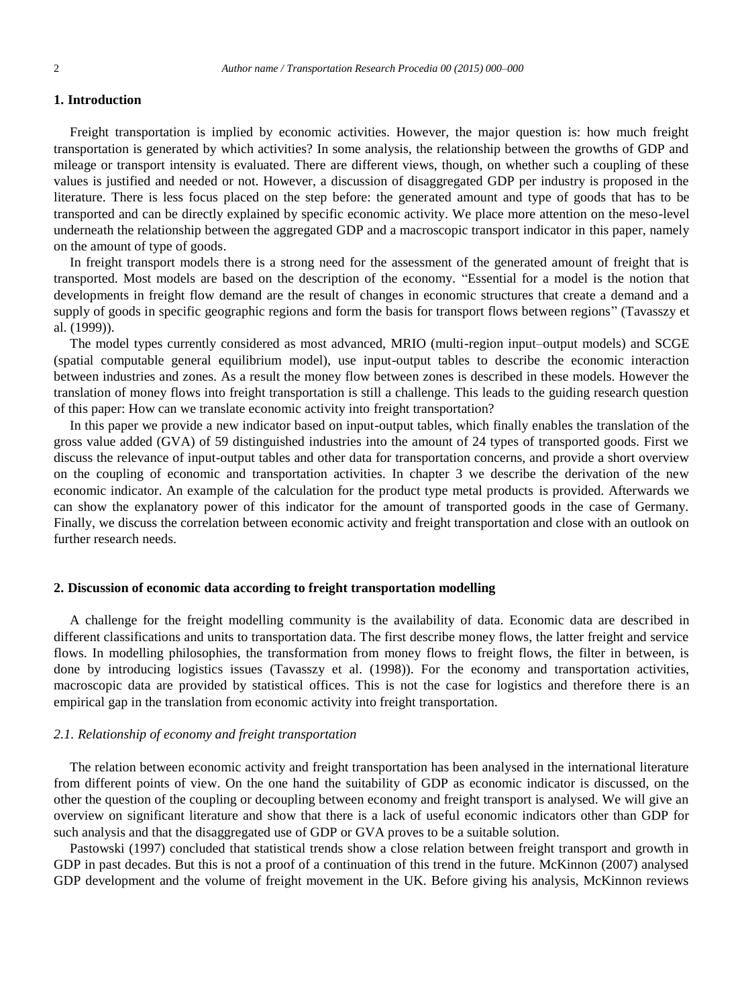#### **1. Introduction**

Freight transportation is implied by economic activities. However, the major question is: how much freight transportation is generated by which activities? In some analysis, the relationship between the growths of GDP and mileage or transport intensity is evaluated. There are different views, though, on whether such a coupling of these values is justified and needed or not. However, a discussion of disaggregated GDP per industry is proposed in the literature. There is less focus placed on the step before: the generated amount and type of goods that has to be transported and can be directly explained by specific economic activity. We place more attention on the meso-level underneath the relationship between the aggregated GDP and a macroscopic transport indicator in this paper, namely on the amount of type of goods.

In freight transport models there is a strong need for the assessment of the generated amount of freight that is transported. Most models are based on the description of the economy. "Essential for a model is the notion that developments in freight flow demand are the result of changes in economic structures that create a demand and a supply of goods in specific geographic regions and form the basis for transport flows between regions" (Tavasszy et al. (1999)).

The model types currently considered as most advanced, MRIO (multi-region input–output models) and SCGE (spatial computable general equilibrium model), use input-output tables to describe the economic interaction between industries and zones. As a result the money flow between zones is described in these models. However the translation of money flows into freight transportation is still a challenge. This leads to the guiding research question of this paper: How can we translate economic activity into freight transportation?

In this paper we provide a new indicator based on input-output tables, which finally enables the translation of the gross value added (GVA) of 59 distinguished industries into the amount of 24 types of transported goods. First we discuss the relevance of input-output tables and other data for transportation concerns, and provide a short overview on the coupling of economic and transportation activities. In chapter 3 we describe the derivation of the new economic indicator. An example of the calculation for the product type metal products is provided. Afterwards we can show the explanatory power of this indicator for the amount of transported goods in the case of Germany. Finally, we discuss the correlation between economic activity and freight transportation and close with an outlook on further research needs.

#### **2. Discussion of economic data according to freight transportation modelling**

A challenge for the freight modelling community is the availability of data. Economic data are described in different classifications and units to transportation data. The first describe money flows, the latter freight and service flows. In modelling philosophies, the transformation from money flows to freight flows, the filter in between, is done by introducing logistics issues (Tavasszy et al. (1998)). For the economy and transportation activities, macroscopic data are provided by statistical offices. This is not the case for logistics and therefore there is an empirical gap in the translation from economic activity into freight transportation.

#### *2.1. Relationship of economy and freight transportation*

The relation between economic activity and freight transportation has been analysed in the international literature from different points of view. On the one hand the suitability of GDP as economic indicator is discussed, on the other the question of the coupling or decoupling between economy and freight transport is analysed. We will give an overview on significant literature and show that there is a lack of useful economic indicators other than GDP for such analysis and that the disaggregated use of GDP or GVA proves to be a suitable solution.

Pastowski (1997) concluded that statistical trends show a close relation between freight transport and growth in GDP in past decades. But this is not a proof of a continuation of this trend in the future. McKinnon (2007) analysed GDP development and the volume of freight movement in the UK. Before giving his analysis, McKinnon reviews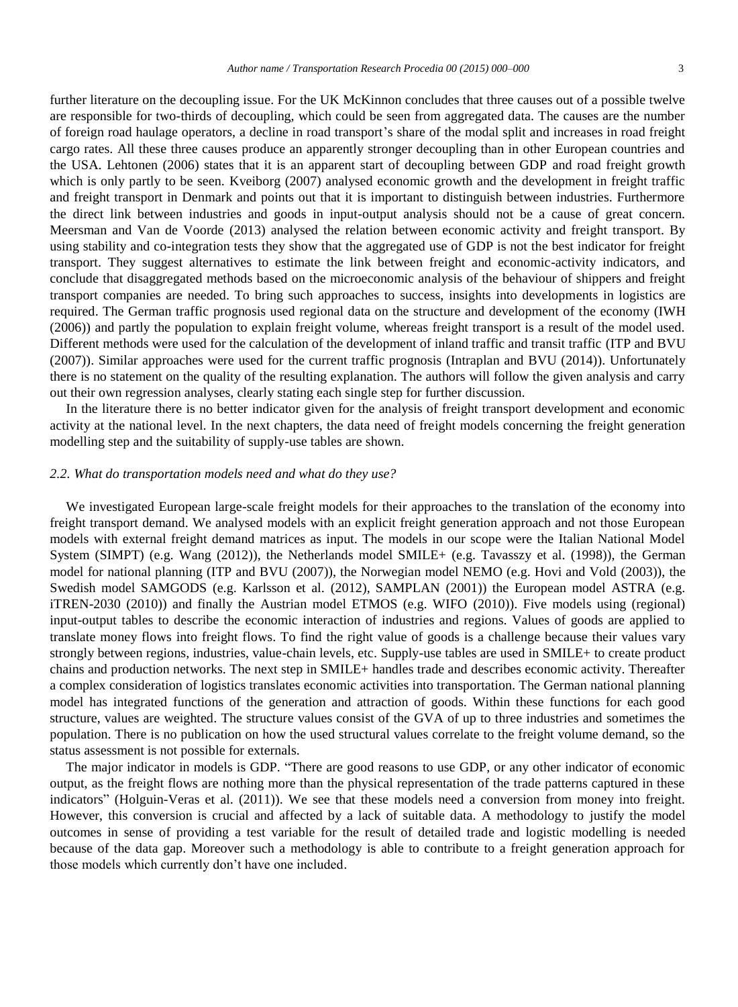further literature on the decoupling issue. For the UK McKinnon concludes that three causes out of a possible twelve are responsible for two-thirds of decoupling, which could be seen from aggregated data. The causes are the number of foreign road haulage operators, a decline in road transport's share of the modal split and increases in road freight cargo rates. All these three causes produce an apparently stronger decoupling than in other European countries and the USA. Lehtonen (2006) states that it is an apparent start of decoupling between GDP and road freight growth which is only partly to be seen. Kveiborg (2007) analysed economic growth and the development in freight traffic and freight transport in Denmark and points out that it is important to distinguish between industries. Furthermore the direct link between industries and goods in input-output analysis should not be a cause of great concern. Meersman and Van de Voorde (2013) analysed the relation between economic activity and freight transport. By using stability and co-integration tests they show that the aggregated use of GDP is not the best indicator for freight transport. They suggest alternatives to estimate the link between freight and economic-activity indicators, and conclude that disaggregated methods based on the microeconomic analysis of the behaviour of shippers and freight transport companies are needed. To bring such approaches to success, insights into developments in logistics are required. The German traffic prognosis used regional data on the structure and development of the economy (IWH (2006)) and partly the population to explain freight volume, whereas freight transport is a result of the model used. Different methods were used for the calculation of the development of inland traffic and transit traffic (ITP and BVU (2007)). Similar approaches were used for the current traffic prognosis (Intraplan and BVU (2014)). Unfortunately there is no statement on the quality of the resulting explanation. The authors will follow the given analysis and carry out their own regression analyses, clearly stating each single step for further discussion.

In the literature there is no better indicator given for the analysis of freight transport development and economic activity at the national level. In the next chapters, the data need of freight models concerning the freight generation modelling step and the suitability of supply-use tables are shown.

#### *2.2. What do transportation models need and what do they use?*

We investigated European large-scale freight models for their approaches to the translation of the economy into freight transport demand. We analysed models with an explicit freight generation approach and not those European models with external freight demand matrices as input. The models in our scope were the Italian National Model System (SIMPT) (e.g. Wang (2012)), the Netherlands model SMILE+ (e.g. Tavasszy et al. (1998)), the German model for national planning (ITP and BVU (2007)), the Norwegian model NEMO (e.g. Hovi and Vold (2003)), the Swedish model SAMGODS (e.g. Karlsson et al. (2012), SAMPLAN (2001)) the European model ASTRA (e.g. iTREN-2030 (2010)) and finally the Austrian model ETMOS (e.g. WIFO (2010)). Five models using (regional) input-output tables to describe the economic interaction of industries and regions. Values of goods are applied to translate money flows into freight flows. To find the right value of goods is a challenge because their values vary strongly between regions, industries, value-chain levels, etc. Supply-use tables are used in SMILE+ to create product chains and production networks. The next step in SMILE+ handles trade and describes economic activity. Thereafter a complex consideration of logistics translates economic activities into transportation. The German national planning model has integrated functions of the generation and attraction of goods. Within these functions for each good structure, values are weighted. The structure values consist of the GVA of up to three industries and sometimes the population. There is no publication on how the used structural values correlate to the freight volume demand, so the status assessment is not possible for externals.

The major indicator in models is GDP. "There are good reasons to use GDP, or any other indicator of economic output, as the freight flows are nothing more than the physical representation of the trade patterns captured in these indicators" (Holguin-Veras et al. (2011)). We see that these models need a conversion from money into freight. However, this conversion is crucial and affected by a lack of suitable data. A methodology to justify the model outcomes in sense of providing a test variable for the result of detailed trade and logistic modelling is needed because of the data gap. Moreover such a methodology is able to contribute to a freight generation approach for those models which currently don't have one included.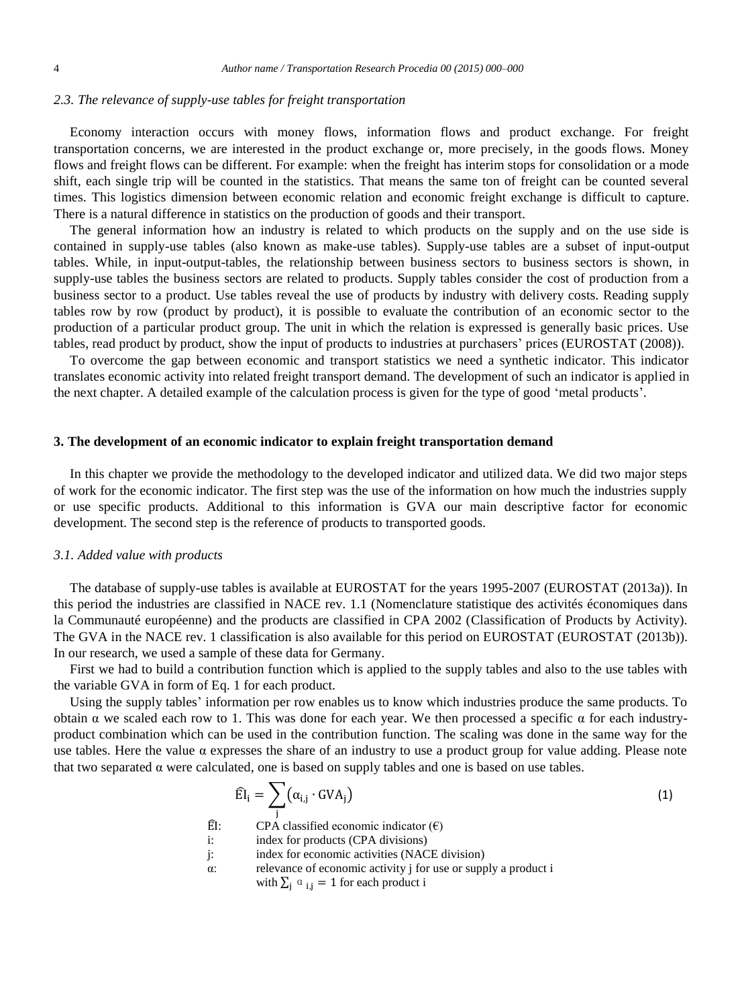#### *2.3. The relevance of supply-use tables for freight transportation*

Economy interaction occurs with money flows, information flows and product exchange. For freight transportation concerns, we are interested in the product exchange or, more precisely, in the goods flows. Money flows and freight flows can be different. For example: when the freight has interim stops for consolidation or a mode shift, each single trip will be counted in the statistics. That means the same ton of freight can be counted several times. This logistics dimension between economic relation and economic freight exchange is difficult to capture. There is a natural difference in statistics on the production of goods and their transport.

The general information how an industry is related to which products on the supply and on the use side is contained in supply-use tables (also known as make-use tables). Supply-use tables are a subset of input-output tables. While, in input-output-tables, the relationship between business sectors to business sectors is shown, in supply-use tables the business sectors are related to products. Supply tables consider the cost of production from a business sector to a product. Use tables reveal the use of products by industry with delivery costs. Reading supply tables row by row (product by product), it is possible to evaluate the contribution of an economic sector to the production of a particular product group. The unit in which the relation is expressed is generally basic prices. Use tables, read product by product, show the input of products to industries at purchasers' prices (EUROSTAT (2008)).

To overcome the gap between economic and transport statistics we need a synthetic indicator. This indicator translates economic activity into related freight transport demand. The development of such an indicator is applied in the next chapter. A detailed example of the calculation process is given for the type of good 'metal products'.

#### **3. The development of an economic indicator to explain freight transportation demand**

In this chapter we provide the methodology to the developed indicator and utilized data. We did two major steps of work for the economic indicator. The first step was the use of the information on how much the industries supply or use specific products. Additional to this information is GVA our main descriptive factor for economic development. The second step is the reference of products to transported goods.

#### *3.1. Added value with products*

The database of supply-use tables is available at EUROSTAT for the years 1995-2007 (EUROSTAT (2013a)). In this period the industries are classified in NACE rev. 1.1 [\(Nomenclature](http://en.wikipedia.org/wiki/Nomenclature) statistique des activités économiques dans la Communauté européenne) and the products are classified in CPA 2002 (Classification of Products by Activity). The GVA in the NACE rev. 1 classification is also available for this period on EUROSTAT (EUROSTAT (2013b)). In our research, we used a sample of these data for Germany.

First we had to build a contribution function which is applied to the supply tables and also to the use tables with the variable GVA in form of Eq. 1 for each product.

Using the supply tables' information per row enables us to know which industries produce the same products. To obtain α we scaled each row to 1. This was done for each year. We then processed a specific α for each industryproduct combination which can be used in the contribution function. The scaling was done in the same way for the use tables. Here the value  $\alpha$  expresses the share of an industry to use a product group for value adding. Please note that two separated  $\alpha$  were calculated, one is based on supply tables and one is based on use tables.

$$
\widehat{\mathrm{EI}}_i = \sum_j (\alpha_{i,j} \cdot \mathrm{GVA}_j) \tag{1}
$$

- $\widehat{E}$  : CPA classified economic indicator  $(\widehat{\epsilon})$
- i: index for products (CPA divisions)
- j: index for economic activities (NACE division)
- α: relevance of economic activity j for use or supply a product i
	- with  $\sum_{i=1}^{\infty}$  a<sub>i,j</sub> = 1 for each product i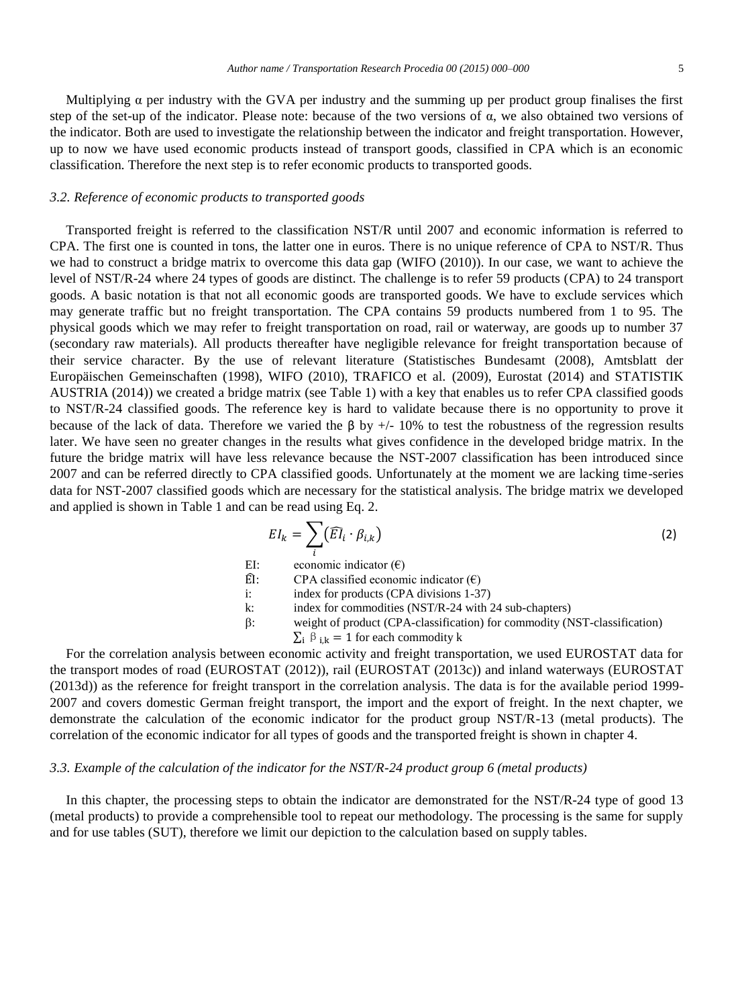Multiplying  $\alpha$  per industry with the GVA per industry and the summing up per product group finalises the first step of the set-up of the indicator. Please note: because of the two versions of  $\alpha$ , we also obtained two versions of the indicator. Both are used to investigate the relationship between the indicator and freight transportation. However, up to now we have used economic products instead of transport goods, classified in CPA which is an economic classification. Therefore the next step is to refer economic products to transported goods.

#### *3.2. Reference of economic products to transported goods*

Transported freight is referred to the classification NST/R until 2007 and economic information is referred to CPA. The first one is counted in tons, the latter one in euros. There is no unique reference of CPA to NST/R. Thus we had to construct a bridge matrix to overcome this data gap (WIFO (2010)). In our case, we want to achieve the level of NST/R-24 where 24 types of goods are distinct. The challenge is to refer 59 products (CPA) to 24 transport goods. A basic notation is that not all economic goods are transported goods. We have to exclude services which may generate traffic but no freight transportation. The CPA contains 59 products numbered from 1 to 95. The physical goods which we may refer to freight transportation on road, rail or waterway, are goods up to number 37 (secondary raw materials). All products thereafter have negligible relevance for freight transportation because of their service character. By the use of relevant literature (Statistisches Bundesamt (2008), Amtsblatt der Europäischen Gemeinschaften (1998), WIFO (2010), TRAFICO et al. (2009), Eurostat (2014) and STATISTIK AUSTRIA (2014)) we created a bridge matrix (see Table 1) with a key that enables us to refer CPA classified goods to NST/R-24 classified goods. The reference key is hard to validate because there is no opportunity to prove it because of the lack of data. Therefore we varied the  $\beta$  by  $+/-10\%$  to test the robustness of the regression results later. We have seen no greater changes in the results what gives confidence in the developed bridge matrix. In the future the bridge matrix will have less relevance because the NST-2007 classification has been introduced since 2007 and can be referred directly to CPA classified goods. Unfortunately at the moment we are lacking time-series data for NST-2007 classified goods which are necessary for the statistical analysis. The bridge matrix we developed and applied is shown in Table 1 and can be read using Eq. 2.

$$
EI_k = \sum_{i} (\widehat{EI}_i \cdot \beta_{i,k})
$$
(2)  
EI:  
economic indicator (€)  
î: CPA classified economic indicator (€)  
i: index for products (CPA divisions 1-37)  
k: index for commodities (NST/R-24 with 24 sub-chapters)  
β: weight of product (CPA-classification) for commodity (NST-classification)  

$$
\sum_{i} \beta_{i,k} = 1 \text{ for each commodity k}
$$

For the correlation analysis between economic activity and freight transportation, we used EUROSTAT data for the transport modes of road (EUROSTAT (2012)), rail (EUROSTAT (2013c)) and inland waterways (EUROSTAT (2013d)) as the reference for freight transport in the correlation analysis. The data is for the available period 1999- 2007 and covers domestic German freight transport, the import and the export of freight. In the next chapter, we demonstrate the calculation of the economic indicator for the product group NST/R-13 (metal products). The correlation of the economic indicator for all types of goods and the transported freight is shown in chapter 4.

#### *3.3. Example of the calculation of the indicator for the NST/R-24 product group 6 (metal products)*

In this chapter, the processing steps to obtain the indicator are demonstrated for the NST/R-24 type of good 13 (metal products) to provide a comprehensible tool to repeat our methodology. The processing is the same for supply and for use tables (SUT), therefore we limit our depiction to the calculation based on supply tables.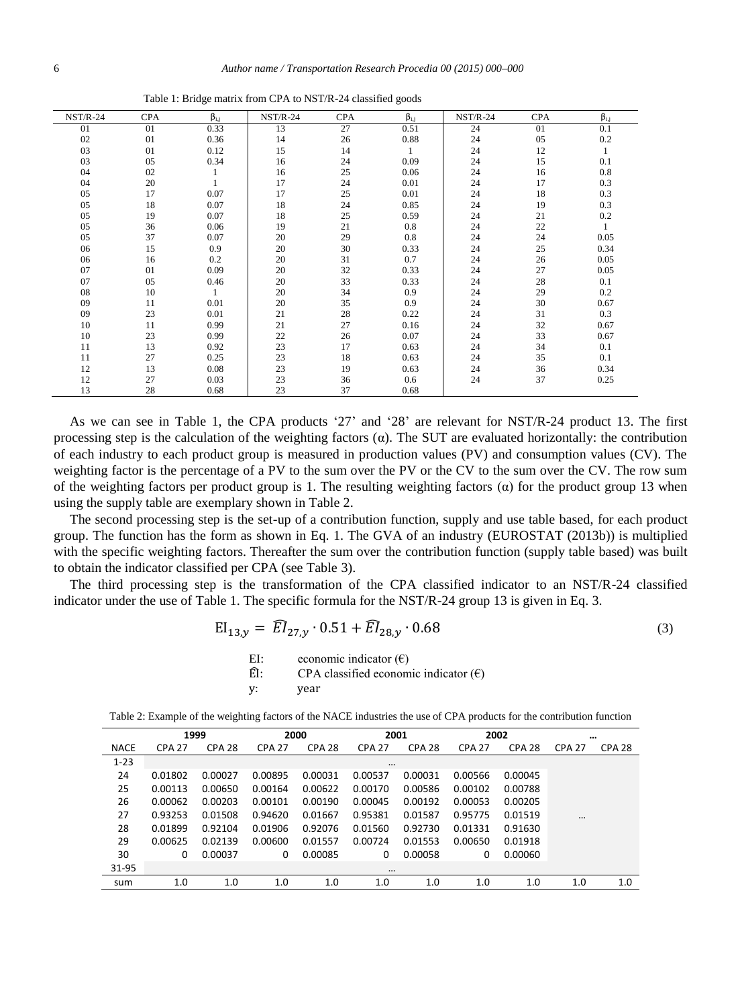Table 1: Bridge matrix from CPA to NST/R-24 classified goods

| $NST/R-24$ | <b>CPA</b> | $\beta_{i,j}$ | $NST/R-24$ | <b>CPA</b> | $\beta_{i,j}$ | <b>NST/R-24</b> | <b>CPA</b> | $\beta_{i,j}$ |
|------------|------------|---------------|------------|------------|---------------|-----------------|------------|---------------|
| 01         | 01         | 0.33          | 13         | 27         | 0.51          | 24              | 01         | 0.1           |
| 02         | 01         | 0.36          | 14         | 26         | 0.88          | 24              | 05         | 0.2           |
| 03         | 01         | 0.12          | 15         | 14         | 1             | 24              | 12         | $\mathbf{1}$  |
| 03         | 05         | 0.34          | 16         | 24         | 0.09          | 24              | 15         | 0.1           |
| 04         | 02         | 1             | 16         | 25         | 0.06          | 24              | 16         | 0.8           |
| 04         | 20         | $\mathbf{1}$  | 17         | 24         | 0.01          | 24              | 17         | 0.3           |
| 05         | 17         | 0.07          | 17         | 25         | 0.01          | 24              | 18         | 0.3           |
| 05         | 18         | 0.07          | 18         | 24         | 0.85          | 24              | 19         | 0.3           |
| 05         | 19         | 0.07          | 18         | 25         | 0.59          | 24              | 21         | 0.2           |
| 05         | 36         | 0.06          | 19         | 21         | 0.8           | 24              | 22         | $\mathbf{1}$  |
| 05         | 37         | 0.07          | 20         | 29         | $0.8\,$       | 24              | 24         | 0.05          |
| 06         | 15         | 0.9           | 20         | 30         | 0.33          | 24              | 25         | 0.34          |
| 06         | 16         | 0.2           | 20         | 31         | 0.7           | 24              | 26         | 0.05          |
| 07         | 01         | 0.09          | 20         | 32         | 0.33          | 24              | 27         | 0.05          |
| 07         | 05         | 0.46          | 20         | 33         | 0.33          | 24              | 28         | 0.1           |
| 08         | 10         | 1             | 20         | 34         | 0.9           | 24              | 29         | 0.2           |
| 09         | 11         | 0.01          | 20         | 35         | 0.9           | 24              | 30         | 0.67          |
| 09         | 23         | 0.01          | 21         | 28         | 0.22          | 24              | 31         | 0.3           |
| 10         | 11         | 0.99          | 21         | 27         | 0.16          | 24              | 32         | 0.67          |
| 10         | 23         | 0.99          | 22         | 26         | 0.07          | 24              | 33         | 0.67          |
| 11         | 13         | 0.92          | 23         | 17         | 0.63          | 24              | 34         | 0.1           |
| 11         | 27         | 0.25          | 23         | 18         | 0.63          | 24              | 35         | 0.1           |
| 12         | 13         | 0.08          | 23         | 19         | 0.63          | 24              | 36         | 0.34          |
| 12         | 27         | 0.03          | 23         | 36         | 0.6           | 24              | 37         | 0.25          |
| 13         | 28         | 0.68          | 23         | 37         | 0.68          |                 |            |               |

As we can see in Table 1, the CPA products '27' and '28' are relevant for NST/R-24 product 13. The first processing step is the calculation of the weighting factors (α). The SUT are evaluated horizontally: the contribution of each industry to each product group is measured in production values (PV) and consumption values (CV). The weighting factor is the percentage of a PV to the sum over the PV or the CV to the sum over the CV. The row sum of the weighting factors per product group is 1. The resulting weighting factors  $(\alpha)$  for the product group 13 when using the supply table are exemplary shown in Table 2.

The second processing step is the set-up of a contribution function, supply and use table based, for each product group. The function has the form as shown in Eq. 1. The GVA of an industry (EUROSTAT (2013b)) is multiplied with the specific weighting factors. Thereafter the sum over the contribution function (supply table based) was built to obtain the indicator classified per CPA (see Table 3).

The third processing step is the transformation of the CPA classified indicator to an NST/R-24 classified indicator under the use of Table 1. The specific formula for the NST/R-24 group 13 is given in Eq. 3.

$$
EI_{13,y} = \widehat{EI}_{27,y} \cdot 0.51 + \widehat{EI}_{28,y} \cdot 0.68
$$
 (3)

| EI: | economic indicator $(\epsilon)$                |
|-----|------------------------------------------------|
| Êŀ. | CPA classified economic indicator $(\epsilon)$ |
| V:  | year                                           |

| Table 2: Example of the weighting factors of the NACE industries the use of CPA products for the contribution function |  |  |  |
|------------------------------------------------------------------------------------------------------------------------|--|--|--|
|                                                                                                                        |  |  |  |

|             |               | 1999              | 2000          |               | 2001          |               | 2002          |               | $\cdots$      |               |
|-------------|---------------|-------------------|---------------|---------------|---------------|---------------|---------------|---------------|---------------|---------------|
| <b>NACE</b> | <b>CPA 27</b> | CPA <sub>28</sub> | <b>CPA 27</b> | <b>CPA 28</b> | <b>CPA 27</b> | <b>CPA 28</b> | <b>CPA 27</b> | <b>CPA 28</b> | <b>CPA 27</b> | <b>CPA 28</b> |
| $1 - 23$    |               |                   |               |               | $\cdots$      |               |               |               |               |               |
| 24          | 0.01802       | 0.00027           | 0.00895       | 0.00031       | 0.00537       | 0.00031       | 0.00566       | 0.00045       |               |               |
| 25          | 0.00113       | 0.00650           | 0.00164       | 0.00622       | 0.00170       | 0.00586       | 0.00102       | 0.00788       |               |               |
| 26          | 0.00062       | 0.00203           | 0.00101       | 0.00190       | 0.00045       | 0.00192       | 0.00053       | 0.00205       |               |               |
| 27          | 0.93253       | 0.01508           | 0.94620       | 0.01667       | 0.95381       | 0.01587       | 0.95775       | 0.01519       | $\cdots$      |               |
| 28          | 0.01899       | 0.92104           | 0.01906       | 0.92076       | 0.01560       | 0.92730       | 0.01331       | 0.91630       |               |               |
| 29          | 0.00625       | 0.02139           | 0.00600       | 0.01557       | 0.00724       | 0.01553       | 0.00650       | 0.01918       |               |               |
| 30          | 0             | 0.00037           | 0             | 0.00085       | 0             | 0.00058       | 0             | 0.00060       |               |               |
| 31-95       |               |                   |               |               | $\cdots$      |               |               |               |               |               |
| sum         | 1.0           | 1.0               | 1.0           | 1.0           | 1.0           | 1.0           | 1.0           | 1.0           | 1.0           | 1.0           |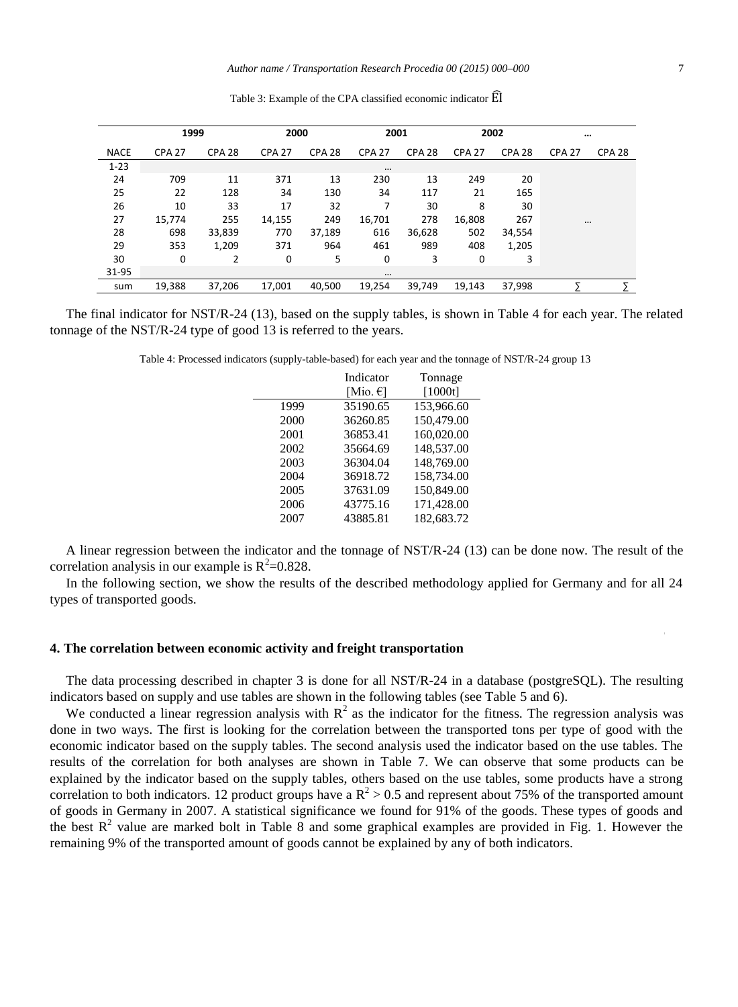|             | 1999          |                   | 2000          |                   | 2001          |                   | 2002          |               | $\cdots$      |               |
|-------------|---------------|-------------------|---------------|-------------------|---------------|-------------------|---------------|---------------|---------------|---------------|
| <b>NACE</b> | <b>CPA 27</b> | CPA <sub>28</sub> | <b>CPA 27</b> | CPA <sub>28</sub> | <b>CPA 27</b> | CPA <sub>28</sub> | <b>CPA 27</b> | <b>CPA 28</b> | <b>CPA 27</b> | <b>CPA 28</b> |
| $1 - 23$    |               |                   |               |                   | $\cdots$      |                   |               |               |               |               |
| 24          | 709           | 11                | 371           | 13                | 230           | 13                | 249           | 20            |               |               |
| 25          | 22            | 128               | 34            | 130               | 34            | 117               | 21            | 165           |               |               |
| 26          | 10            | 33                | 17            | 32                | 7             | 30                | 8             | 30            |               |               |
| 27          | 15,774        | 255               | 14,155        | 249               | 16,701        | 278               | 16,808        | 267           | $\cdots$      |               |
| 28          | 698           | 33,839            | 770           | 37,189            | 616           | 36,628            | 502           | 34,554        |               |               |
| 29          | 353           | 1,209             | 371           | 964               | 461           | 989               | 408           | 1,205         |               |               |
| 30          | 0             | 2                 | 0             | 5                 | 0             | 3                 | 0             | 3             |               |               |
| 31-95       |               |                   |               |                   | $\cdots$      |                   |               |               |               |               |
| sum         | 19,388        | 37,206            | 17,001        | 40.500            | 19,254        | 39,749            | 19.143        | 37,998        |               |               |

Table 3: Example of the CPA classified economic indicator EÎ

The final indicator for NST/R-24 (13), based on the supply tables, is shown in Table 4 for each year. The related tonnage of the NST/R-24 type of good 13 is referred to the years.

Table 4: Processed indicators (supply-table-based) for each year and the tonnage of NST/R-24 group 13

|      | Indicator | Tonnage    |
|------|-----------|------------|
|      | [Mio. €1  | [1000t]    |
| 1999 | 35190.65  | 153,966.60 |
| 2000 | 36260.85  | 150,479.00 |
| 2001 | 36853.41  | 160,020.00 |
| 2002 | 35664.69  | 148,537.00 |
| 2003 | 36304.04  | 148,769.00 |
| 2004 | 36918.72  | 158,734.00 |
| 2005 | 37631.09  | 150,849.00 |
| 2006 | 43775.16  | 171,428.00 |
| 2007 | 43885.81  | 182,683.72 |

A linear regression between the indicator and the tonnage of NST/R-24 (13) can be done now. The result of the correlation analysis in our example is  $R^2$ =0.828.

In the following section, we show the results of the described methodology applied for Germany and for all 24 types of transported goods.

#### **4. The correlation between economic activity and freight transportation**

The data processing described in chapter 3 is done for all NST/R-24 in a database (postgreSQL). The resulting indicators based on supply and use tables are shown in the following tables (see Table 5 and 6).

We conducted a linear regression analysis with  $R^2$  as the indicator for the fitness. The regression analysis was done in two ways. The first is looking for the correlation between the transported tons per type of good with the economic indicator based on the supply tables. The second analysis used the indicator based on the use tables. The results of the correlation for both analyses are shown in Table 7. We can observe that some products can be explained by the indicator based on the supply tables, others based on the use tables, some products have a strong correlation to both indicators. 12 product groups have a  $\mathbb{R}^2 > 0.5$  and represent about 75% of the transported amount of goods in Germany in 2007. A statistical significance we found for 91% of the goods. These types of goods and the best  $R^2$  value are marked bolt in Table 8 and some graphical examples are provided in Fig. 1. However the remaining 9% of the transported amount of goods cannot be explained by any of both indicators.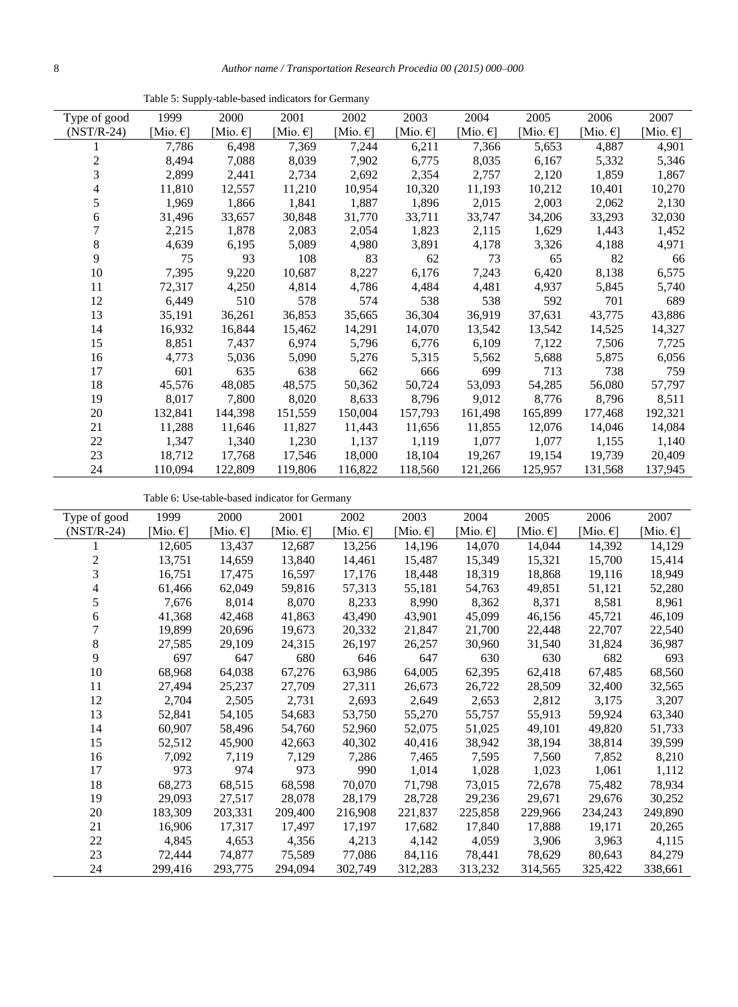| Table 5: Supply-table-based indicators for Germany |  |
|----------------------------------------------------|--|
|                                                    |  |

| Type of good | 1999               | 2000     | 2001     | 2002               | 2003     | 2004               | 2005     | 2006               | 2007               |
|--------------|--------------------|----------|----------|--------------------|----------|--------------------|----------|--------------------|--------------------|
| $(NST/R-24)$ | [Mio. $\epsilon$ ] | [Mio. €] | [Mio. €] | [Mio. $\epsilon$ ] | [Mio. €] | [Mio. $\epsilon$ ] | [Mio. €] | [Mio. $\epsilon$ ] | [Mio. $\epsilon$ ] |
|              | 7,786              | 6,498    | 7,369    | 7,244              | 6,211    | 7,366              | 5,653    | 4,887              | 4,901              |
| 2            | 8,494              | 7,088    | 8,039    | 7,902              | 6,775    | 8,035              | 6,167    | 5,332              | 5,346              |
| 3            | 2,899              | 2,441    | 2,734    | 2,692              | 2,354    | 2,757              | 2,120    | 1,859              | 1,867              |
| 4            | 11,810             | 12,557   | 11,210   | 10,954             | 10,320   | 11,193             | 10,212   | 10,401             | 10,270             |
| 5            | 1,969              | 1,866    | 1,841    | 1,887              | 1,896    | 2,015              | 2,003    | 2,062              | 2,130              |
| 6            | 31,496             | 33,657   | 30,848   | 31,770             | 33,711   | 33,747             | 34,206   | 33,293             | 32,030             |
| 7            | 2,215              | 1,878    | 2,083    | 2,054              | 1,823    | 2,115              | 1,629    | 1,443              | 1,452              |
| 8            | 4,639              | 6,195    | 5,089    | 4,980              | 3,891    | 4,178              | 3,326    | 4,188              | 4,971              |
| 9            | 75                 | 93       | 108      | 83                 | 62       | 73                 | 65       | 82                 | 66                 |
| 10           | 7,395              | 9,220    | 10,687   | 8,227              | 6,176    | 7,243              | 6,420    | 8,138              | 6,575              |
| 11           | 72,317             | 4,250    | 4,814    | 4,786              | 4,484    | 4,481              | 4,937    | 5,845              | 5,740              |
| 12           | 6,449              | 510      | 578      | 574                | 538      | 538                | 592      | 701                | 689                |
| 13           | 35,191             | 36,261   | 36,853   | 35,665             | 36,304   | 36,919             | 37,631   | 43,775             | 43,886             |
| 14           | 16,932             | 16,844   | 15,462   | 14,291             | 14,070   | 13,542             | 13,542   | 14,525             | 14,327             |
| 15           | 8,851              | 7,437    | 6,974    | 5,796              | 6,776    | 6,109              | 7,122    | 7,506              | 7,725              |
| 16           | 4,773              | 5,036    | 5,090    | 5,276              | 5,315    | 5,562              | 5,688    | 5,875              | 6,056              |
| 17           | 601                | 635      | 638      | 662                | 666      | 699                | 713      | 738                | 759                |
| 18           | 45,576             | 48,085   | 48,575   | 50,362             | 50,724   | 53,093             | 54,285   | 56,080             | 57,797             |
| 19           | 8,017              | 7,800    | 8,020    | 8,633              | 8,796    | 9,012              | 8,776    | 8,796              | 8,511              |
| 20           | 132,841            | 144,398  | 151,559  | 150,004            | 157,793  | 161,498            | 165,899  | 177,468            | 192,321            |
| 21           | 11,288             | 11,646   | 11,827   | 11,443             | 11,656   | 11,855             | 12,076   | 14,046             | 14,084             |
| 22           | 1,347              | 1,340    | 1,230    | 1,137              | 1,119    | 1,077              | 1,077    | 1,155              | 1,140              |
| 23           | 18,712             | 17,768   | 17,546   | 18,000             | 18,104   | 19,267             | 19,154   | 19,739             | 20,409             |
| 24           | 110,094            | 122,809  | 119,806  | 116,822            | 118,560  | 121,266            | 125,957  | 131,568            | 137,945            |

Table 6: Use-table-based indicator for Germany

| Type of good   | 1999               | 2000     | 2001     | 2002               | 2003               | 2004     | 2005     | 2006               | 2007     |
|----------------|--------------------|----------|----------|--------------------|--------------------|----------|----------|--------------------|----------|
| $(NST/R-24)$   | [Mio. $\epsilon$ ] | [Mio. €] | [Mio. €] | [Mio. $\epsilon$ ] | [Mio. $\epsilon$ ] | [Mio. €] | [Mio. €] | [Mio. $\epsilon$ ] | [Mio. €] |
|                |                    |          |          |                    |                    |          |          |                    |          |
|                | 12,605             | 13,437   | 12,687   | 13,256             | 14,196             | 14,070   | 14,044   | 14,392             | 14,129   |
| $\overline{c}$ | 13,751             | 14,659   | 13,840   | 14,461             | 15,487             | 15,349   | 15,321   | 15,700             | 15,414   |
| 3              | 16,751             | 17,475   | 16,597   | 17,176             | 18,448             | 18,319   | 18,868   | 19,116             | 18,949   |
| 4              | 61,466             | 62,049   | 59,816   | 57,313             | 55,181             | 54,763   | 49,851   | 51,121             | 52,280   |
| 5              | 7,676              | 8,014    | 8,070    | 8,233              | 8,990              | 8,362    | 8,371    | 8,581              | 8,961    |
| 6              | 41,368             | 42,468   | 41,863   | 43,490             | 43,901             | 45,099   | 46,156   | 45,721             | 46,109   |
| 7              | 19,899             | 20,696   | 19,673   | 20,332             | 21,847             | 21,700   | 22,448   | 22,707             | 22,540   |
| 8              | 27,585             | 29,109   | 24,315   | 26,197             | 26,257             | 30,960   | 31,540   | 31,824             | 36,987   |
| 9              | 697                | 647      | 680      | 646                | 647                | 630      | 630      | 682                | 693      |
| 10             | 68,968             | 64,038   | 67,276   | 63,986             | 64,005             | 62,395   | 62,418   | 67,485             | 68,560   |
| 11             | 27,494             | 25,237   | 27,709   | 27,311             | 26,673             | 26,722   | 28,509   | 32,400             | 32,565   |
| 12             | 2,704              | 2,505    | 2,731    | 2,693              | 2,649              | 2,653    | 2,812    | 3,175              | 3,207    |
| 13             | 52,841             | 54,105   | 54,683   | 53,750             | 55,270             | 55,757   | 55,913   | 59,924             | 63,340   |
| 14             | 60,907             | 58,496   | 54,760   | 52,960             | 52,075             | 51,025   | 49,101   | 49,820             | 51,733   |
| 15             | 52,512             | 45,900   | 42,663   | 40,302             | 40,416             | 38,942   | 38,194   | 38,814             | 39,599   |
| 16             | 7,092              | 7,119    | 7,129    | 7,286              | 7,465              | 7,595    | 7,560    | 7,852              | 8,210    |
| 17             | 973                | 974      | 973      | 990                | 1,014              | 1,028    | 1,023    | 1,061              | 1,112    |
| 18             | 68,273             | 68,515   | 68,598   | 70,070             | 71,798             | 73,015   | 72,678   | 75,482             | 78,934   |
| 19             | 29,093             | 27,517   | 28,078   | 28,179             | 28,728             | 29,236   | 29,671   | 29,676             | 30,252   |
| 20             | 183,309            | 203,331  | 209,400  | 216,908            | 221,837            | 225,858  | 229,966  | 234,243            | 249,890  |
| 21             | 16,906             | 17,317   | 17,497   | 17,197             | 17,682             | 17,840   | 17,888   | 19,171             | 20,265   |
| 22             | 4,845              | 4,653    | 4,356    | 4,213              | 4,142              | 4,059    | 3,906    | 3,963              | 4,115    |
| 23             | 72,444             | 74,877   | 75,589   | 77,086             | 84,116             | 78,441   | 78,629   | 80,643             | 84,279   |
| 24             | 299,416            | 293,775  | 294,094  | 302,749            | 312,283            | 313,232  | 314,565  | 325,422            | 338,661  |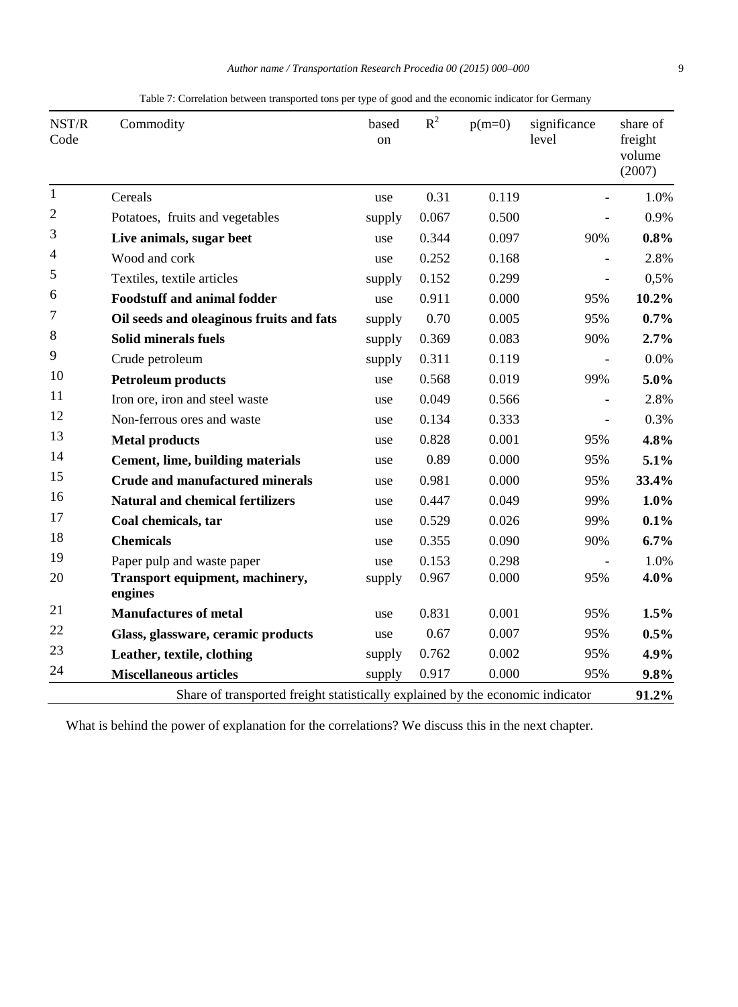| NST/R<br>Code  | Commodity                                                                      | based<br>on | $R^2$ | $p(m=0)$ | significance<br>level | share of<br>freight<br>volume<br>(2007) |
|----------------|--------------------------------------------------------------------------------|-------------|-------|----------|-----------------------|-----------------------------------------|
| $\mathbf{1}$   | Cereals                                                                        | use         | 0.31  | 0.119    |                       | 1.0%                                    |
| $\overline{c}$ | Potatoes, fruits and vegetables                                                | supply      | 0.067 | 0.500    |                       | 0.9%                                    |
| 3              | Live animals, sugar beet                                                       | use         | 0.344 | 0.097    | 90%                   | 0.8%                                    |
| 4              | Wood and cork                                                                  | use         | 0.252 | 0.168    |                       | 2.8%                                    |
| 5              | Textiles, textile articles                                                     | supply      | 0.152 | 0.299    |                       | 0,5%                                    |
| 6              | <b>Foodstuff and animal fodder</b>                                             | use         | 0.911 | 0.000    | 95%                   | 10.2%                                   |
| 7              | Oil seeds and oleaginous fruits and fats                                       | supply      | 0.70  | 0.005    | 95%                   | 0.7%                                    |
| 8              | Solid minerals fuels                                                           | supply      | 0.369 | 0.083    | 90%                   | 2.7%                                    |
| 9              | Crude petroleum                                                                | supply      | 0.311 | 0.119    |                       | 0.0%                                    |
| 10             | <b>Petroleum products</b>                                                      | use         | 0.568 | 0.019    | 99%                   | 5.0%                                    |
| 11             | Iron ore, iron and steel waste                                                 | use         | 0.049 | 0.566    |                       | 2.8%                                    |
| 12             | Non-ferrous ores and waste                                                     | use         | 0.134 | 0.333    |                       | 0.3%                                    |
| 13             | <b>Metal products</b>                                                          | use         | 0.828 | 0.001    | 95%                   | 4.8%                                    |
| 14             | Cement, lime, building materials                                               | use         | 0.89  | 0.000    | 95%                   | 5.1%                                    |
| 15             | <b>Crude and manufactured minerals</b>                                         | use         | 0.981 | 0.000    | 95%                   | 33.4%                                   |
| 16             | <b>Natural and chemical fertilizers</b>                                        | use         | 0.447 | 0.049    | 99%                   | 1.0%                                    |
| 17             | Coal chemicals, tar                                                            | use         | 0.529 | 0.026    | 99%                   | 0.1%                                    |
| 18             | <b>Chemicals</b>                                                               | use         | 0.355 | 0.090    | 90%                   | 6.7%                                    |
| 19             | Paper pulp and waste paper                                                     | use         | 0.153 | 0.298    |                       | 1.0%                                    |
| 20             | Transport equipment, machinery,<br>engines                                     | supply      | 0.967 | 0.000    | 95%                   | 4.0%                                    |
| 21             | <b>Manufactures of metal</b>                                                   | use         | 0.831 | 0.001    | 95%                   | 1.5%                                    |
| 22             | Glass, glassware, ceramic products                                             | use         | 0.67  | 0.007    | 95%                   | 0.5%                                    |
| 23             | Leather, textile, clothing                                                     | supply      | 0.762 | 0.002    | 95%                   | 4.9%                                    |
| 24             | <b>Miscellaneous articles</b>                                                  | supply      | 0.917 | 0.000    | 95%                   | 9.8%                                    |
|                | Share of transported freight statistically explained by the economic indicator |             |       |          |                       | 91.2%                                   |

Table 7: Correlation between transported tons per type of good and the economic indicator for Germany

What is behind the power of explanation for the correlations? We discuss this in the next chapter.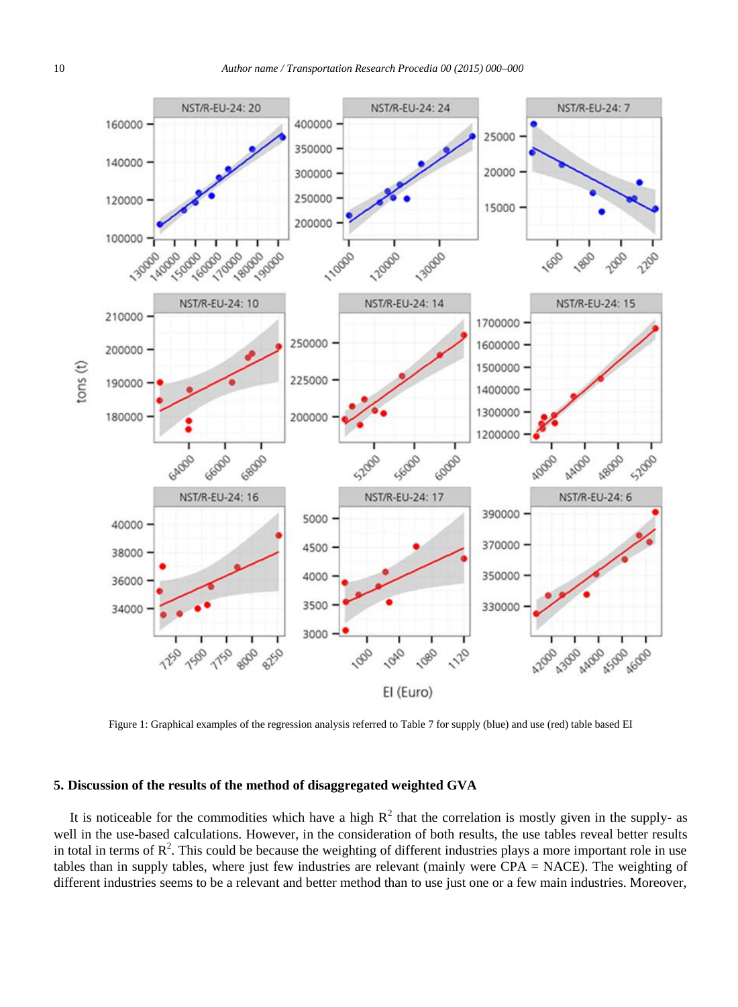

Figure 1: Graphical examples of the regression analysis referred to Table 7 for supply (blue) and use (red) table based EI

#### **5. Discussion of the results of the method of disaggregated weighted GVA**

It is noticeable for the commodities which have a high  $R^2$  that the correlation is mostly given in the supply- as well in the use-based calculations. However, in the consideration of both results, the use tables reveal better results in total in terms of  $\mathbb{R}^2$ . This could be because the weighting of different industries plays a more important role in use tables than in supply tables, where just few industries are relevant (mainly were CPA = NACE). The weighting of different industries seems to be a relevant and better method than to use just one or a few main industries. Moreover,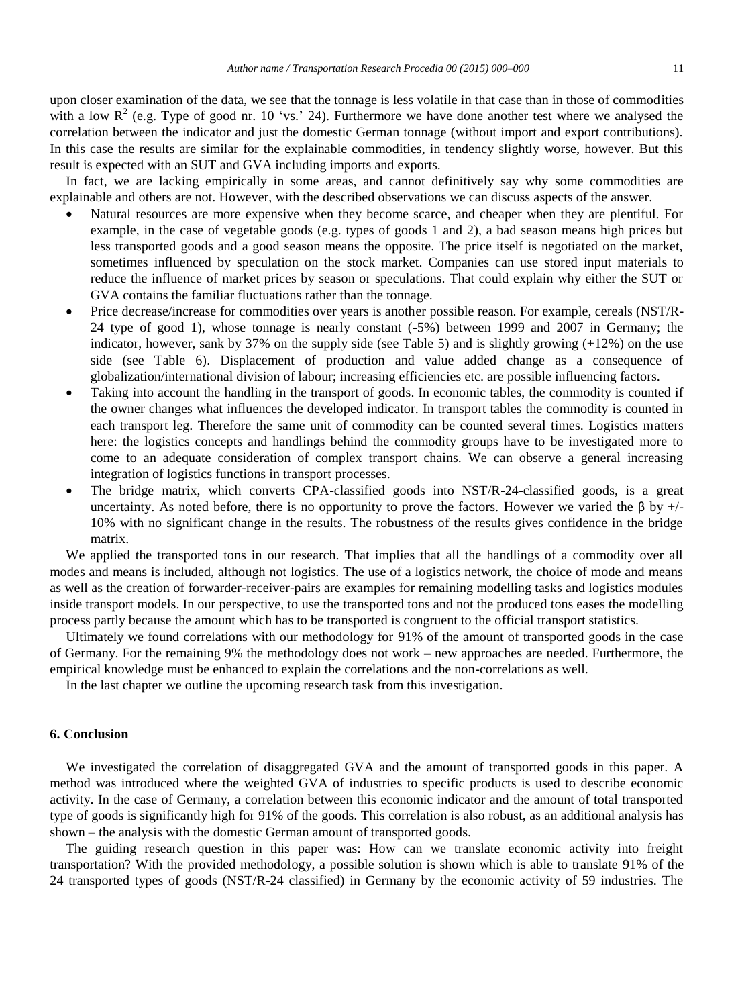upon closer examination of the data, we see that the tonnage is less volatile in that case than in those of commodities with a low  $R^2$  (e.g. Type of good nr. 10 'vs.' 24). Furthermore we have done another test where we analysed the correlation between the indicator and just the domestic German tonnage (without import and export contributions). In this case the results are similar for the explainable commodities, in tendency slightly worse, however. But this result is expected with an SUT and GVA including imports and exports.

In fact, we are lacking empirically in some areas, and cannot definitively say why some commodities are explainable and others are not. However, with the described observations we can discuss aspects of the answer.

- Natural resources are more expensive when they become scarce, and cheaper when they are plentiful. For example, in the case of vegetable goods (e.g. types of goods 1 and 2), a bad season means high prices but less transported goods and a good season means the opposite. The price itself is negotiated on the market, sometimes influenced by speculation on the stock market. Companies can use stored input materials to reduce the influence of market prices by season or speculations. That could explain why either the SUT or GVA contains the familiar fluctuations rather than the tonnage.
- Price decrease/increase for commodities over years is another possible reason. For example, cereals (NST/R-24 type of good 1), whose tonnage is nearly constant (-5%) between 1999 and 2007 in Germany; the indicator, however, sank by 37% on the supply side (see Table 5) and is slightly growing (+12%) on the use side (see Table 6). Displacement of production and value added change as a consequence of globalization/international division of labour; increasing efficiencies etc. are possible influencing factors.
- Taking into account the handling in the transport of goods. In economic tables, the commodity is counted if the owner changes what influences the developed indicator. In transport tables the commodity is counted in each transport leg. Therefore the same unit of commodity can be counted several times. Logistics matters here: the logistics concepts and handlings behind the commodity groups have to be investigated more to come to an adequate consideration of complex transport chains. We can observe a general increasing integration of logistics functions in transport processes.
- The bridge matrix, which converts CPA-classified goods into NST/R-24-classified goods, is a great uncertainty. As noted before, there is no opportunity to prove the factors. However we varied the β by  $+/-$ 10% with no significant change in the results. The robustness of the results gives confidence in the bridge matrix.

We applied the transported tons in our research. That implies that all the handlings of a commodity over all modes and means is included, although not logistics. The use of a logistics network, the choice of mode and means as well as the creation of forwarder-receiver-pairs are examples for remaining modelling tasks and logistics modules inside transport models. In our perspective, to use the transported tons and not the produced tons eases the modelling process partly because the amount which has to be transported is congruent to the official transport statistics.

Ultimately we found correlations with our methodology for 91% of the amount of transported goods in the case of Germany. For the remaining 9% the methodology does not work – new approaches are needed. Furthermore, the empirical knowledge must be enhanced to explain the correlations and the non-correlations as well.

In the last chapter we outline the upcoming research task from this investigation.

#### **6. Conclusion**

We investigated the correlation of disaggregated GVA and the amount of transported goods in this paper. A method was introduced where the weighted GVA of industries to specific products is used to describe economic activity. In the case of Germany, a correlation between this economic indicator and the amount of total transported type of goods is significantly high for 91% of the goods. This correlation is also robust, as an additional analysis has shown – the analysis with the domestic German amount of transported goods.

The guiding research question in this paper was: How can we translate economic activity into freight transportation? With the provided methodology, a possible solution is shown which is able to translate 91% of the 24 transported types of goods (NST/R-24 classified) in Germany by the economic activity of 59 industries. The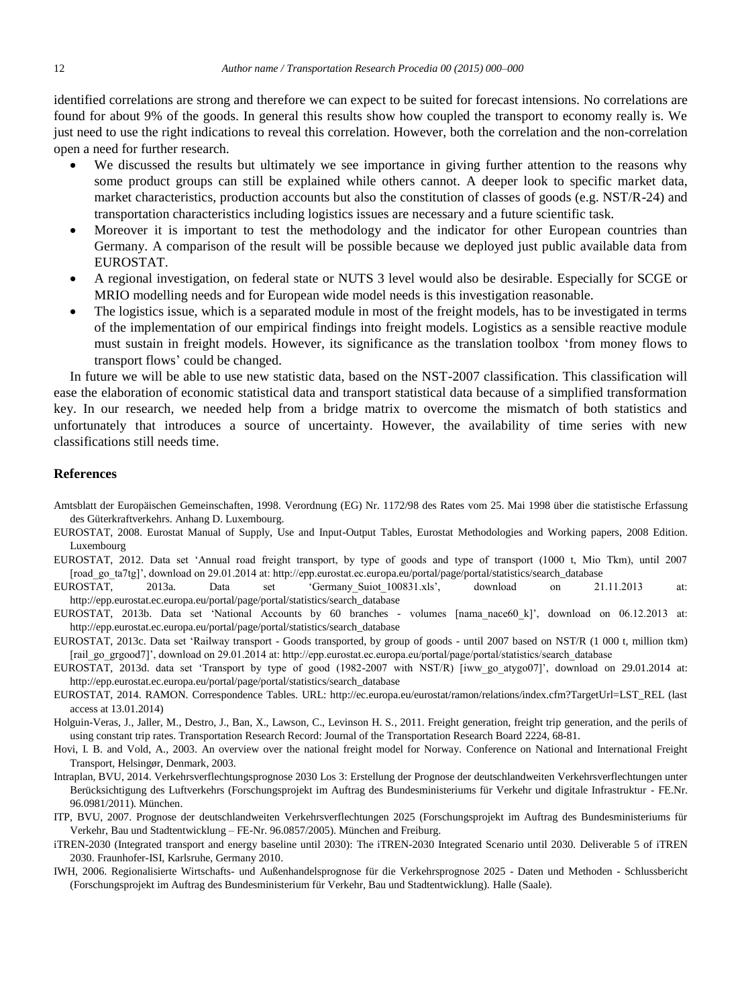identified correlations are strong and therefore we can expect to be suited for forecast intensions. No correlations are found for about 9% of the goods. In general this results show how coupled the transport to economy really is. We just need to use the right indications to reveal this correlation. However, both the correlation and the non-correlation open a need for further research.

- We discussed the results but ultimately we see importance in giving further attention to the reasons why some product groups can still be explained while others cannot. A deeper look to specific market data, market characteristics, production accounts but also the constitution of classes of goods (e.g. NST/R-24) and transportation characteristics including logistics issues are necessary and a future scientific task.
- Moreover it is important to test the methodology and the indicator for other European countries than Germany. A comparison of the result will be possible because we deployed just public available data from EUROSTAT.
- A regional investigation, on federal state or NUTS 3 level would also be desirable. Especially for SCGE or MRIO modelling needs and for European wide model needs is this investigation reasonable.
- The logistics issue, which is a separated module in most of the freight models, has to be investigated in terms of the implementation of our empirical findings into freight models. Logistics as a sensible reactive module must sustain in freight models. However, its significance as the translation toolbox 'from money flows to transport flows' could be changed.

In future we will be able to use new statistic data, based on the NST-2007 classification. This classification will ease the elaboration of economic statistical data and transport statistical data because of a simplified transformation key. In our research, we needed help from a bridge matrix to overcome the mismatch of both statistics and unfortunately that introduces a source of uncertainty. However, the availability of time series with new classifications still needs time.

#### **References**

- Amtsblatt der Europäischen Gemeinschaften, 1998. Verordnung (EG) Nr. 1172/98 des Rates vom 25. Mai 1998 über die statistische Erfassung des Güterkraftverkehrs. Anhang D. Luxembourg.
- EUROSTAT, 2008. Eurostat Manual of Supply, Use and Input-Output Tables, Eurostat Methodologies and Working papers, 2008 Edition. Luxembourg
- EUROSTAT, 2012. Data set 'Annual road freight transport, by type of goods and type of transport (1000 t, Mio Tkm), until 2007 [road\_go\_ta7tg]', download on 29.01.2014 at: http://epp.eurostat.ec.europa.eu/portal/page/portal/statistics/search\_database
- EUROSTAT, 2013a. Data set 'Germany\_Suiot\_100831.xls', download on 21.11.2013 at: http://epp.eurostat.ec.europa.eu/portal/page/portal/statistics/search\_database
- EUROSTAT, 2013b. Data set 'National Accounts by 60 branches volumes [nama\_nace60\_k]', download on 06.12.2013 at: http://epp.eurostat.ec.europa.eu/portal/page/portal/statistics/search\_database
- EUROSTAT, 2013c. Data set 'Railway transport Goods transported, by group of goods until 2007 based on NST/R (1 000 t, million tkm) [rail\_go\_grgood7]', download on 29.01.2014 at: http://epp.eurostat.ec.europa.eu/portal/page/portal/statistics/search\_database
- EUROSTAT, 2013d. data set 'Transport by type of good (1982-2007 with NST/R) [iww\_go\_atygo07]', download on 29.01.2014 at: http://epp.eurostat.ec.europa.eu/portal/page/portal/statistics/search\_database
- EUROSTAT, 2014. RAMON. Correspondence Tables. URL: http://ec.europa.eu/eurostat/ramon/relations/index.cfm?TargetUrl=LST\_REL (last access at 13.01.2014)
- Holguin-Veras, J., Jaller, M., Destro, J., Ban, X., Lawson, C., Levinson H. S., 2011. Freight generation, freight trip generation, and the perils of using constant trip rates. Transportation Research Record: Journal of the Transportation Research Board 2224, 68-81.
- Hovi, I. B. and Vold, A., 2003. An overview over the national freight model for Norway. Conference on National and International Freight Transport, Helsingør, Denmark, 2003.
- Intraplan, BVU, 2014. Verkehrsverflechtungsprognose 2030 Los 3: Erstellung der Prognose der deutschlandweiten Verkehrsverflechtungen unter Berücksichtigung des Luftverkehrs (Forschungsprojekt im Auftrag des Bundesministeriums für Verkehr und digitale Infrastruktur - FE.Nr. 96.0981/2011). München.
- ITP, BVU, 2007. Prognose der deutschlandweiten Verkehrsverflechtungen 2025 (Forschungsprojekt im Auftrag des Bundesministeriums für Verkehr, Bau und Stadtentwicklung – FE-Nr. 96.0857/2005). München and Freiburg.
- iTREN-2030 (Integrated transport and energy baseline until 2030): The iTREN-2030 Integrated Scenario until 2030. Deliverable 5 of iTREN 2030. Fraunhofer-ISI, Karlsruhe, Germany 2010.
- IWH, 2006. Regionalisierte Wirtschafts- und Außenhandelsprognose für die Verkehrsprognose 2025 Daten und Methoden Schlussbericht (Forschungsprojekt im Auftrag des Bundesministerium für Verkehr, Bau und Stadtentwicklung). Halle (Saale).